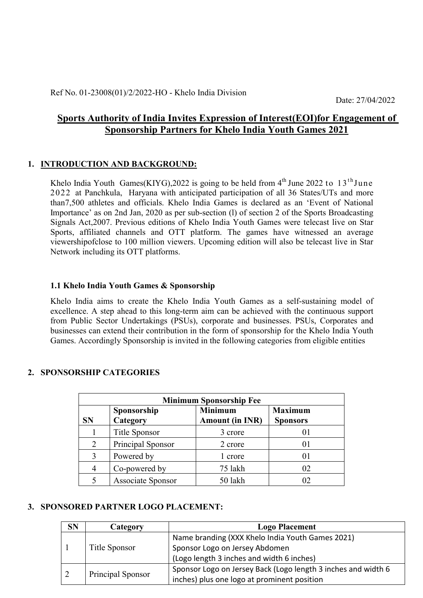Date: 27/04/2022

# Sports Authority of India Invites Expression of Interest(EOI)for Engagement of Sponsorship Partners for Khelo India Youth Games 2021

### 1. INTRODUCTION AND BACKGROUND:

Khelo India Youth Games(KIYG), 2022 is going to be held from  $4<sup>th</sup>$  June 2022 to 13<sup>th</sup> June 2022 at Panchkula, Haryana with anticipated participation of all 36 States/UTs and more than7,500 athletes and officials. Khelo India Games is declared as an 'Event of National Importance' as on 2nd Jan, 2020 as per sub-section (l) of section 2 of the Sports Broadcasting Signals Act,2007. Previous editions of Khelo India Youth Games were telecast live on Star Sports, affiliated channels and OTT platform. The games have witnessed an average viewershipofclose to 100 million viewers. Upcoming edition will also be telecast live in Star Network including its OTT platforms.

### 1.1 Khelo India Youth Games & Sponsorship

Khelo India aims to create the Khelo India Youth Games as a self-sustaining model of excellence. A step ahead to this long-term aim can be achieved with the continuous support from Public Sector Undertakings (PSUs), corporate and businesses. PSUs, Corporates and businesses can extend their contribution in the form of sponsorship for the Khelo India Youth Games. Accordingly Sponsorship is invited in the following categories from eligible entities

### 2. SPONSORSHIP CATEGORIES

|                | <b>Minimum Sponsorship Fee</b> |                                          |                                   |  |  |  |  |
|----------------|--------------------------------|------------------------------------------|-----------------------------------|--|--|--|--|
| <b>SN</b>      | Sponsorship<br>Category        | <b>Minimum</b><br><b>Amount (in INR)</b> | <b>Maximum</b><br><b>Sponsors</b> |  |  |  |  |
|                | <b>Title Sponsor</b>           | 3 crore                                  |                                   |  |  |  |  |
| 2              | Principal Sponsor              | 2 crore                                  |                                   |  |  |  |  |
| 3              | Powered by                     | 1 crore                                  |                                   |  |  |  |  |
| $\overline{4}$ | Co-powered by                  | 75 lakh                                  | 02                                |  |  |  |  |
|                | Associate Sponsor              | 50 lakh                                  | 02                                |  |  |  |  |

### 3. SPONSORED PARTNER LOGO PLACEMENT:

| <b>SN</b> | Category          | <b>Logo Placement</b>                                         |  |  |
|-----------|-------------------|---------------------------------------------------------------|--|--|
|           |                   | Name branding (XXX Khelo India Youth Games 2021)              |  |  |
|           | Title Sponsor     | Sponsor Logo on Jersey Abdomen                                |  |  |
|           |                   | (Logo length 3 inches and width 6 inches)                     |  |  |
|           | Principal Sponsor | Sponsor Logo on Jersey Back (Logo length 3 inches and width 6 |  |  |
| 2         |                   | inches) plus one logo at prominent position                   |  |  |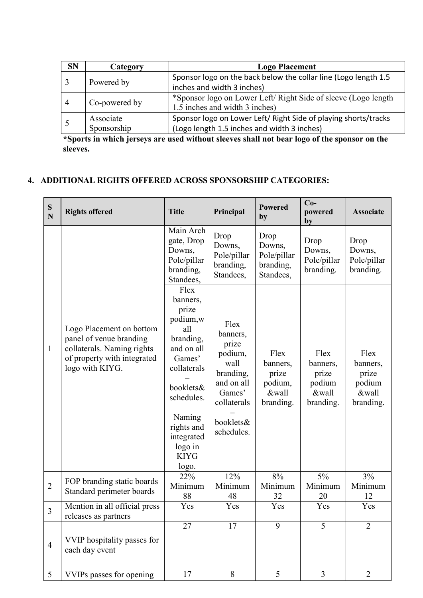| <b>SN</b> | Category                 | <b>Logo Placement</b>                                                                                          |  |  |
|-----------|--------------------------|----------------------------------------------------------------------------------------------------------------|--|--|
|           | Powered by               | Sponsor logo on the back below the collar line (Logo length 1.5<br>inches and width 3 inches)                  |  |  |
|           | Co-powered by            | *Sponsor logo on Lower Left/Right Side of sleeve (Logo length)<br>1.5 inches and width 3 inches)               |  |  |
|           | Associate<br>Sponsorship | Sponsor logo on Lower Left/ Right Side of playing shorts/tracks<br>(Logo length 1.5 inches and width 3 inches) |  |  |

\*Sports in which jerseys are used without sleeves shall not bear logo of the sponsor on the sleeves.

## 4. ADDITIONAL RIGHTS OFFERED ACROSS SPONSORSHIP CATEGORIES:

| ${\bf S}$<br>$\overline{\bf N}$ | <b>Rights offered</b>                                                                                                               | <b>Title</b>                                                                                                                                                                                         | Principal                                                                                                                   | <b>Powered</b><br>by                                       | $Co-$<br>powered<br>by                                    | <b>Associate</b>                                          |
|---------------------------------|-------------------------------------------------------------------------------------------------------------------------------------|------------------------------------------------------------------------------------------------------------------------------------------------------------------------------------------------------|-----------------------------------------------------------------------------------------------------------------------------|------------------------------------------------------------|-----------------------------------------------------------|-----------------------------------------------------------|
|                                 |                                                                                                                                     | Main Arch<br>gate, Drop<br>Downs,<br>Pole/pillar<br>branding,<br>Standees,                                                                                                                           | Drop<br>Downs,<br>Pole/pillar<br>branding,<br>Standees,                                                                     | Drop<br>Downs,<br>Pole/pillar<br>branding,<br>Standees,    | Drop<br>Downs,<br>Pole/pillar<br>branding.                | Drop<br>Downs,<br>Pole/pillar<br>branding.                |
| $\mathbf{1}$                    | Logo Placement on bottom<br>panel of venue branding<br>collaterals. Naming rights<br>of property with integrated<br>logo with KIYG. | Flex<br>banners,<br>prize<br>podium,w<br>all<br>branding,<br>and on all<br>Games'<br>collaterals<br>booklets&<br>schedules.<br>Naming<br>rights and<br>integrated<br>logo in<br><b>KIYG</b><br>logo. | Flex<br>banners,<br>prize<br>podium,<br>wall<br>branding,<br>and on all<br>Games'<br>collaterals<br>booklets&<br>schedules. | Flex<br>banners,<br>prize<br>podium,<br>&wall<br>branding. | Flex<br>banners,<br>prize<br>podium<br>&wall<br>branding. | Flex<br>banners,<br>prize<br>podium<br>&wall<br>branding. |
| $\overline{2}$                  | FOP branding static boards<br>Standard perimeter boards                                                                             | 22%<br>Minimum<br>88                                                                                                                                                                                 | 12%<br>Minimum<br>48                                                                                                        | 8%<br>Minimum<br>32                                        | 5%<br>Minimum<br>20                                       | 3%<br>Minimum<br>12                                       |
| $\overline{3}$                  | Mention in all official press<br>releases as partners                                                                               | Yes                                                                                                                                                                                                  | Yes                                                                                                                         | Yes                                                        | Yes                                                       | Yes                                                       |
| $\overline{4}$                  | VVIP hospitality passes for<br>each day event                                                                                       | 27                                                                                                                                                                                                   | 17                                                                                                                          | 9                                                          | 5                                                         | $\overline{2}$                                            |
| $5\overline{)}$                 | VVIPs passes for opening                                                                                                            | 17                                                                                                                                                                                                   | 8                                                                                                                           | 5                                                          | $\overline{3}$                                            | $\overline{2}$                                            |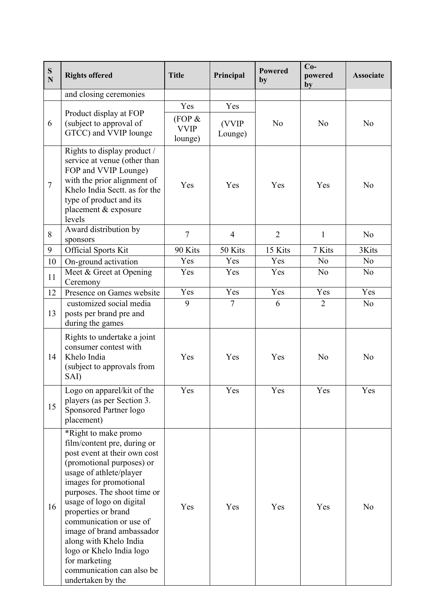| ${\bf S}$<br>$\mathbf N$ | <b>Rights offered</b>                                                                                                                                                                                                                                                                                                                                                                                                                    | <b>Title</b>                            | Principal               | <b>Powered</b><br>by | $Co-$<br>powered<br>by | <b>Associate</b> |
|--------------------------|------------------------------------------------------------------------------------------------------------------------------------------------------------------------------------------------------------------------------------------------------------------------------------------------------------------------------------------------------------------------------------------------------------------------------------------|-----------------------------------------|-------------------------|----------------------|------------------------|------------------|
|                          | and closing ceremonies                                                                                                                                                                                                                                                                                                                                                                                                                   |                                         |                         |                      |                        |                  |
| 6                        | Product display at FOP<br>(subject to approval of<br>GTCC) and VVIP lounge                                                                                                                                                                                                                                                                                                                                                               | Yes<br>(FOP &<br><b>VVIP</b><br>lounge) | Yes<br>(VVIP<br>Lounge) | N <sub>0</sub>       | N <sub>o</sub>         | N <sub>o</sub>   |
| $\overline{7}$           | Rights to display product /<br>service at venue (other than<br>FOP and VVIP Lounge)<br>with the prior alignment of<br>Khelo India Sectt. as for the<br>type of product and its<br>placement & exposure<br>levels                                                                                                                                                                                                                         | Yes                                     | Yes                     | Yes                  | Yes                    | N <sub>0</sub>   |
| 8                        | Award distribution by<br>sponsors                                                                                                                                                                                                                                                                                                                                                                                                        | $\overline{7}$                          | $\overline{4}$          | $\overline{2}$       | $\mathbf{1}$           | N <sub>0</sub>   |
| 9                        | <b>Official Sports Kit</b>                                                                                                                                                                                                                                                                                                                                                                                                               | 90 Kits                                 | 50 Kits                 | 15 Kits              | 7 Kits                 | 3Kits            |
| 10                       | On-ground activation                                                                                                                                                                                                                                                                                                                                                                                                                     | Yes                                     | Yes                     | Yes                  | N <sub>o</sub>         | N <sub>o</sub>   |
| 11                       | Meet & Greet at Opening<br>Ceremony                                                                                                                                                                                                                                                                                                                                                                                                      | Yes                                     | Yes                     | Yes                  | N <sub>o</sub>         | N <sub>0</sub>   |
| 12                       | Presence on Games website                                                                                                                                                                                                                                                                                                                                                                                                                | Yes                                     | Yes                     | Yes                  | Yes                    | Yes              |
| 13                       | customized social media<br>posts per brand pre and<br>during the games                                                                                                                                                                                                                                                                                                                                                                   | 9                                       | $\overline{7}$          | 6                    | $\overline{2}$         | N <sub>0</sub>   |
| 14                       | Rights to undertake a joint<br>consumer contest with<br>Khelo India<br>(subject to approvals from<br>SAI)                                                                                                                                                                                                                                                                                                                                | Yes                                     | Yes                     | Yes                  | N <sub>0</sub>         | N <sub>o</sub>   |
| 15                       | Logo on apparel/kit of the<br>players (as per Section 3.<br>Sponsored Partner logo<br>placement)                                                                                                                                                                                                                                                                                                                                         | Yes                                     | Yes                     | Yes                  | Yes                    | Yes              |
| 16                       | *Right to make promo<br>film/content pre, during or<br>post event at their own cost<br>(promotional purposes) or<br>usage of athlete/player<br>images for promotional<br>purposes. The shoot time or<br>usage of logo on digital<br>properties or brand<br>communication or use of<br>image of brand ambassador<br>along with Khelo India<br>logo or Khelo India logo<br>for marketing<br>communication can also be<br>undertaken by the | Yes                                     | Yes                     | Yes                  | Yes                    | N <sub>0</sub>   |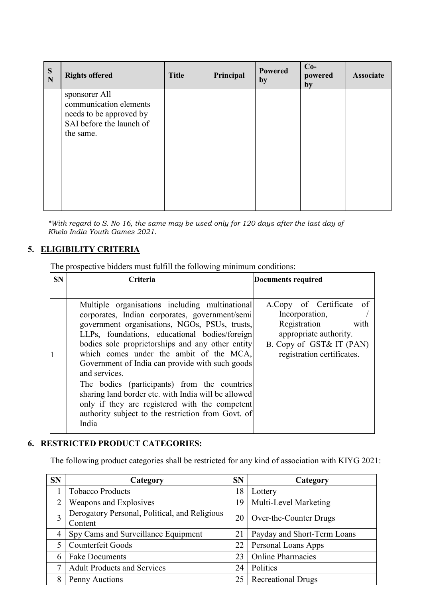| S<br>N | <b>Rights offered</b>                                                                                       | <b>Title</b> | Principal | <b>Powered</b><br>by | $Co-$<br>powered<br>by | <b>Associate</b> |
|--------|-------------------------------------------------------------------------------------------------------------|--------------|-----------|----------------------|------------------------|------------------|
|        | sponsorer All<br>communication elements<br>needs to be approved by<br>SAI before the launch of<br>the same. |              |           |                      |                        |                  |

*\*With regard to S. No 16, the same may be used only for 120 days after the last day of Khelo India Youth Games 2021.* 

## 5. ELIGIBILITY CRITERIA

The prospective bidders must fulfill the following minimum conditions:

| <b>SN</b> | <b>Criteria</b>                                                                                                                                                                                                      | Documents required                                                                           |
|-----------|----------------------------------------------------------------------------------------------------------------------------------------------------------------------------------------------------------------------|----------------------------------------------------------------------------------------------|
|           |                                                                                                                                                                                                                      |                                                                                              |
|           | Multiple organisations including multinational<br>corporates, Indian corporates, government/semi<br>government organisations, NGOs, PSUs, trusts,<br>LLPs, foundations, educational bodies/foreign                   | A.Copy of Certificate of<br>Incorporation,<br>Registration<br>with<br>appropriate authority. |
|           | bodies sole proprietorships and any other entity<br>which comes under the ambit of the MCA,<br>Government of India can provide with such goods<br>and services.                                                      | B. Copy of GST& IT (PAN)<br>registration certificates.                                       |
|           | The bodies (participants) from the countries<br>sharing land border etc. with India will be allowed<br>only if they are registered with the competent<br>authority subject to the restriction from Govt. of<br>India |                                                                                              |

### 6. RESTRICTED PRODUCT CATEGORIES:

The following product categories shall be restricted for any kind of association with KIYG 2021:

| <b>SN</b> | Category                                                 | <b>SN</b> | Category                    |
|-----------|----------------------------------------------------------|-----------|-----------------------------|
|           | <b>Tobacco Products</b>                                  | 18        | Lottery                     |
|           | Weapons and Explosives                                   | 19        | Multi-Level Marketing       |
| 3         | Derogatory Personal, Political, and Religious<br>Content | 20        | Over-the-Counter Drugs      |
| 4         | Spy Cams and Surveillance Equipment                      | 21        | Payday and Short-Term Loans |
|           | Counterfeit Goods                                        | 22        | Personal Loans Apps         |
| 6         | <b>Fake Documents</b>                                    | 23        | <b>Online Pharmacies</b>    |
|           | <b>Adult Products and Services</b>                       | 24        | Politics                    |
|           | Penny Auctions                                           | 25        | <b>Recreational Drugs</b>   |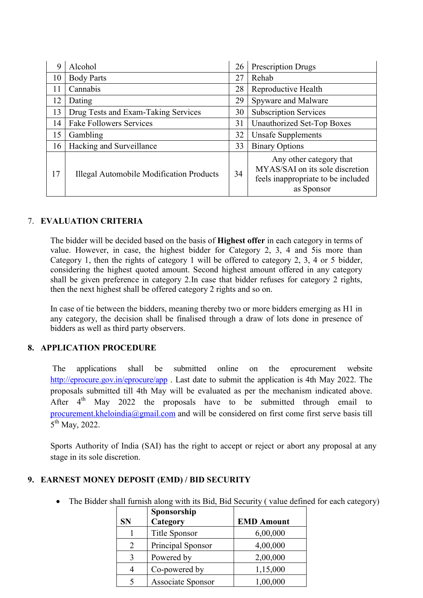| 9  | Alcohol                                         | 26 | <b>Prescription Drugs</b>                                                                                      |
|----|-------------------------------------------------|----|----------------------------------------------------------------------------------------------------------------|
| 10 | <b>Body Parts</b>                               | 27 | Rehab                                                                                                          |
| 11 | Cannabis                                        | 28 | Reproductive Health                                                                                            |
| 12 | Dating                                          | 29 | Spyware and Malware                                                                                            |
| 13 | Drug Tests and Exam-Taking Services             | 30 | <b>Subscription Services</b>                                                                                   |
| 14 | <b>Fake Followers Services</b>                  | 31 | Unauthorized Set-Top Boxes                                                                                     |
| 15 | Gambling                                        | 32 | <b>Unsafe Supplements</b>                                                                                      |
| 16 | Hacking and Surveillance                        | 33 | <b>Binary Options</b>                                                                                          |
| 17 | <b>Illegal Automobile Modification Products</b> | 34 | Any other category that<br>MYAS/SAI on its sole discretion<br>feels inappropriate to be included<br>as Sponsor |

### 7. EVALUATION CRITERIA

The bidder will be decided based on the basis of Highest offer in each category in terms of value. However, in case, the highest bidder for Category 2, 3, 4 and 5is more than Category 1, then the rights of category 1 will be offered to category 2, 3, 4 or 5 bidder, considering the highest quoted amount. Second highest amount offered in any category shall be given preference in category 2.In case that bidder refuses for category 2 rights, then the next highest shall be offered category 2 rights and so on.

In case of tie between the bidders, meaning thereby two or more bidders emerging as H1 in any category, the decision shall be finalised through a draw of lots done in presence of bidders as well as third party observers.

## 8. APPLICATION PROCEDURE

The applications shall be submitted online on the eprocurement website http://eprocure.gov.in/eprocure/app. Last date to submit the application is 4th May 2022. The proposals submitted till 4th May will be evaluated as per the mechanism indicated above. After  $4<sup>th</sup>$  May 2022 the proposals have to be submitted through email to procurement.kheloindia@gmail.com and will be considered on first come first serve basis till 5th May, 2022.

Sports Authority of India (SAI) has the right to accept or reject or abort any proposal at any stage in its sole discretion.

## 9. EARNEST MONEY DEPOSIT (EMD) / BID SECURITY

• The Bidder shall furnish along with its Bid, Bid Security (value defined for each category)

|           | Sponsorship              |                   |
|-----------|--------------------------|-------------------|
| <b>SN</b> | Category                 | <b>EMD Amount</b> |
|           | Title Sponsor            | 6,00,000          |
| 2         | Principal Sponsor        | 4,00,000          |
| 3         | Powered by               | 2,00,000          |
| 4         | Co-powered by            | 1,15,000          |
| 5         | <b>Associate Sponsor</b> | 1,00,000          |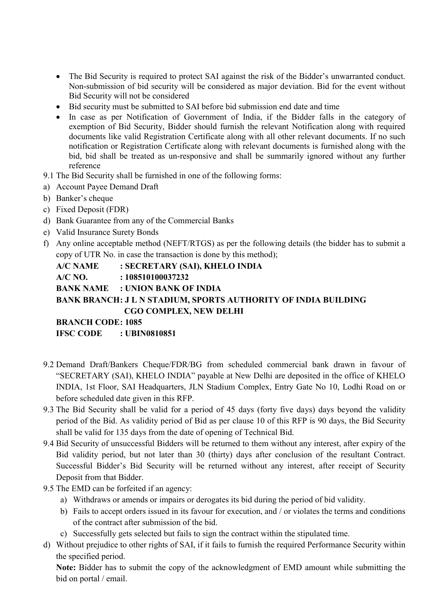- The Bid Security is required to protect SAI against the risk of the Bidder's unwarranted conduct. Non-submission of bid security will be considered as major deviation. Bid for the event without Bid Security will not be considered
- Bid security must be submitted to SAI before bid submission end date and time
- In case as per Notification of Government of India, if the Bidder falls in the category of exemption of Bid Security, Bidder should furnish the relevant Notification along with required documents like valid Registration Certificate along with all other relevant documents. If no such notification or Registration Certificate along with relevant documents is furnished along with the bid, bid shall be treated as un-responsive and shall be summarily ignored without any further reference
- 9.1 The Bid Security shall be furnished in one of the following forms:
- a) Account Payee Demand Draft
- b) Banker's cheque
- c) Fixed Deposit (FDR)
- d) Bank Guarantee from any of the Commercial Banks
- e) Valid Insurance Surety Bonds
- f) Any online acceptable method (NEFT/RTGS) as per the following details (the bidder has to submit a copy of UTR No. in case the transaction is done by this method);

A/C NAME : SECRETARY (SAI), KHELO INDIA A/C NO. : 108510100037232 BANK NAME : UNION BANK OF INDIA BANK BRANCH: J L N STADIUM, SPORTS AUTHORITY OF INDIA BUILDING CGO COMPLEX, NEW DELHI BRANCH CODE: 1085

IFSC CODE : UBIN0810851

- 9.2 Demand Draft/Bankers Cheque/FDR/BG from scheduled commercial bank drawn in favour of "SECRETARY (SAI), KHELO INDIA" payable at New Delhi are deposited in the office of KHELO INDIA, 1st Floor, SAI Headquarters, JLN Stadium Complex, Entry Gate No 10, Lodhi Road on or before scheduled date given in this RFP.
- 9.3 The Bid Security shall be valid for a period of 45 days (forty five days) days beyond the validity period of the Bid. As validity period of Bid as per clause 10 of this RFP is 90 days, the Bid Security shall be valid for 135 days from the date of opening of Technical Bid.
- 9.4 Bid Security of unsuccessful Bidders will be returned to them without any interest, after expiry of the Bid validity period, but not later than 30 (thirty) days after conclusion of the resultant Contract. Successful Bidder's Bid Security will be returned without any interest, after receipt of Security Deposit from that Bidder.
- 9.5 The EMD can be forfeited if an agency:
	- a) Withdraws or amends or impairs or derogates its bid during the period of bid validity.
	- b) Fails to accept orders issued in its favour for execution, and / or violates the terms and conditions of the contract after submission of the bid.
	- c) Successfully gets selected but fails to sign the contract within the stipulated time.
- d) Without prejudice to other rights of SAI, if it fails to furnish the required Performance Security within the specified period.

Note: Bidder has to submit the copy of the acknowledgment of EMD amount while submitting the bid on portal / email.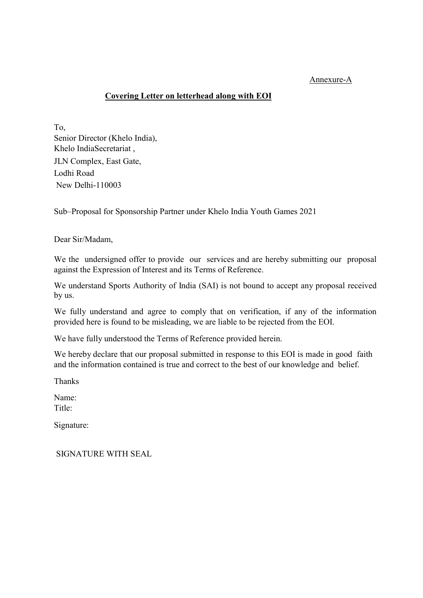#### Annexure-A

#### Covering Letter on letterhead along with EOI

To, Senior Director (Khelo India), Khelo IndiaSecretariat , JLN Complex, East Gate, Lodhi Road New Delhi-110003

Sub–Proposal for Sponsorship Partner under Khelo India Youth Games 2021

Dear Sir/Madam,

We the undersigned offer to provide our services and are hereby submitting our proposal against the Expression of Interest and its Terms of Reference.

We understand Sports Authority of India (SAI) is not bound to accept any proposal received by us.

We fully understand and agree to comply that on verification, if any of the information provided here is found to be misleading, we are liable to be rejected from the EOI.

We have fully understood the Terms of Reference provided herein.

We hereby declare that our proposal submitted in response to this EOI is made in good faith and the information contained is true and correct to the best of our knowledge and belief.

Thanks

Name:

Title:

Signature:

SIGNATURE WITH SEAL